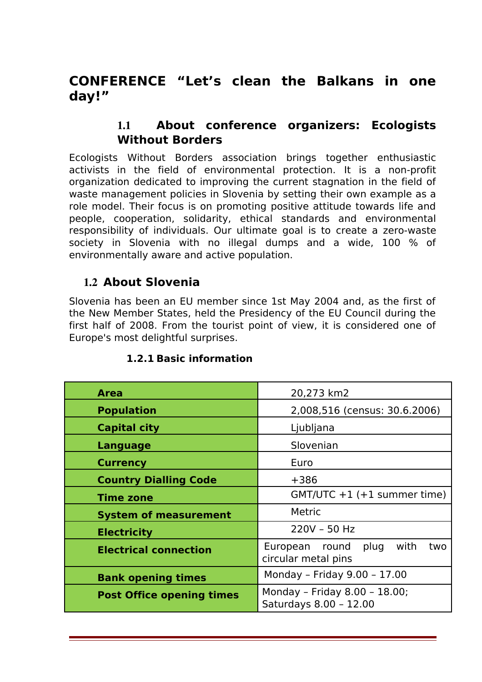# **CONFERENCE "Let's clean the Balkans in one day!"**

### 1.1 **About conference organizers: Ecologists Without Borders**

Ecologists Without Borders association brings together enthusiastic activists in the field of environmental protection. It is a non-profit organization dedicated to improving the current stagnation in the field of waste management policies in Slovenia by setting their own example as a role model. Their focus is on promoting positive attitude towards life and people, cooperation, solidarity, ethical standards and environmental responsibility of individuals. Our ultimate goal is to create a zero-waste society in Slovenia with no illegal dumps and a wide, 100 % of environmentally aware and active population.

### 1.2 **About Slovenia**

Slovenia has been an EU member since 1st May 2004 and, as the first of the New Member States, held the Presidency of the EU Council during the first half of 2008. From the tourist point of view, it is considered one of Europe's most delightful surprises.

| <b>Area</b>                      | 20,273 km2                                                      |
|----------------------------------|-----------------------------------------------------------------|
| <b>Population</b>                | 2,008,516 (census: 30.6.2006)                                   |
| <b>Capital city</b>              | Ljubljana                                                       |
| <b>Language</b>                  | Slovenian                                                       |
| <b>Currency</b>                  | Euro                                                            |
| <b>Country Dialling Code</b>     | $+386$                                                          |
| <b>Time zone</b>                 | $GMT/UTC + 1 (+1 summer time)$                                  |
| <b>System of measurement</b>     | Metric                                                          |
| <b>Electricity</b>               | 220V - 50 Hz                                                    |
| <b>Electrical connection</b>     | with<br>plug<br>European<br>round<br>two<br>circular metal pins |
| <b>Bank opening times</b>        | Monday - Friday 9.00 - 17.00                                    |
| <b>Post Office opening times</b> | Monday - Friday 8.00 - 18.00;<br>Saturdays 8.00 - 12.00         |

### **1.2.1 Basic information**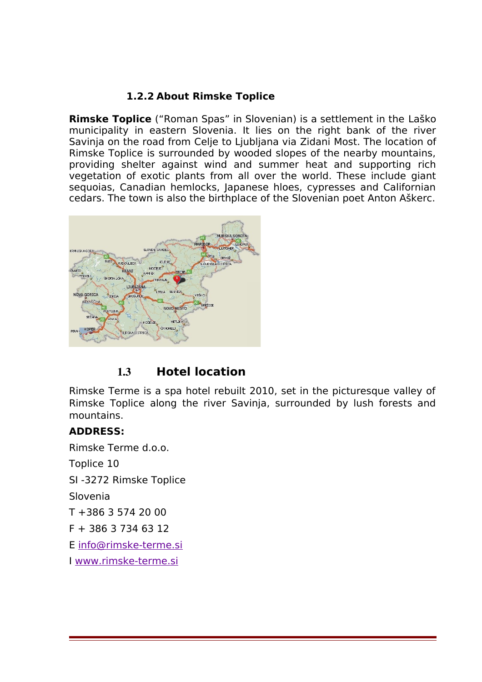### **1.2.2 About Rimske Toplice**

**Rimske Toplice** ("Roman Spas" in Slovenian) is a settlement in the [Laško](http://en.wikipedia.org/wiki/La%C5%A1ko) [municipality](http://en.wikipedia.org/wiki/Municipality) in eastern [Slovenia.](http://en.wikipedia.org/wiki/Slovenia) It lies on the right bank of the river [Savinja](http://en.wikipedia.org/wiki/Savinja) on the road from [Celje](http://en.wikipedia.org/wiki/Celje) to [Ljubljana](http://en.wikipedia.org/wiki/Ljubljana) via [Zidani Most.](http://en.wikipedia.org/wiki/Zidani_Most) The location of Rimske Toplice is surrounded by wooded slopes of the nearby mountains, providing shelter against wind and summer heat and supporting rich vegetation of exotic plants from all over the world. These include giant sequoias, Canadian hemlocks, Japanese hloes, cypresses and Californian cedars. The town is also the birthplace of the Slovenian poet [Anton Aškerc.](http://en.wikipedia.org/wiki/Anton_A%C5%A1kerc)



### 1.3 **Hotel location**

Rimske Terme is a spa hotel rebuilt 2010, set in the picturesque valley of Rimske Toplice along the river Savinja, surrounded by lush forests and mountains.

### **ADDRESS:**

Rimske Terme d.o.o.

Toplice 10

SI -3272 Rimske Toplice

Slovenia

T +386 3 574 20 00

 $F + 386$  3 734 63 12

E [info@rimske-terme.si](mailto:info@rimske-terme.si)

I [www.rimske-terme.si](http://www.rimske-terme.si/)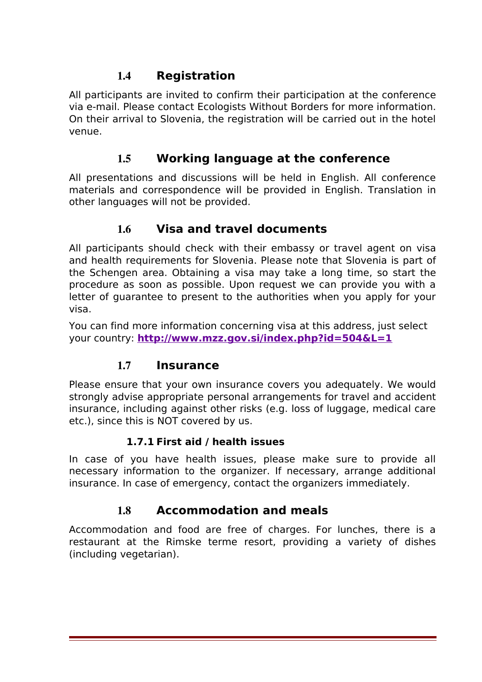## 1.4 **Registration**

All participants are invited to confirm their participation at the conference via e-mail. Please contact Ecologists Without Borders for more information. On their arrival to Slovenia, the registration will be carried out in the hotel venue.

## 1.5 **Working language at the conference**

All presentations and discussions will be held in English. All conference materials and correspondence will be provided in English. Translation in other languages will not be provided.

### 1.6 **Visa and travel documents**

All participants should check with their embassy or travel agent on visa and health requirements for Slovenia. Please note that Slovenia is part of the Schengen area. Obtaining a visa may take a long time, so start the procedure as soon as possible. Upon request we can provide you with a letter of guarantee to present to the authorities when you apply for your visa.

You can find more information concerning visa at this address, just select your country: **<http://www.mzz.gov.si/index.php?id=504&L=1>**

## 1.7 **Insurance**

Please ensure that your own insurance covers you adequately. We would strongly advise appropriate personal arrangements for travel and accident insurance, including against other risks (e.g. loss of luggage, medical care etc.), since this is NOT covered by us.

### **1.7.1 First aid / health issues**

In case of you have health issues, please make sure to provide all necessary information to the organizer. If necessary, arrange additional insurance. In case of emergency, contact the organizers immediately.

## 1.8 **Accommodation and meals**

Accommodation and food are free of charges. For lunches, there is a restaurant at the Rimske terme resort, providing a variety of dishes (including vegetarian).